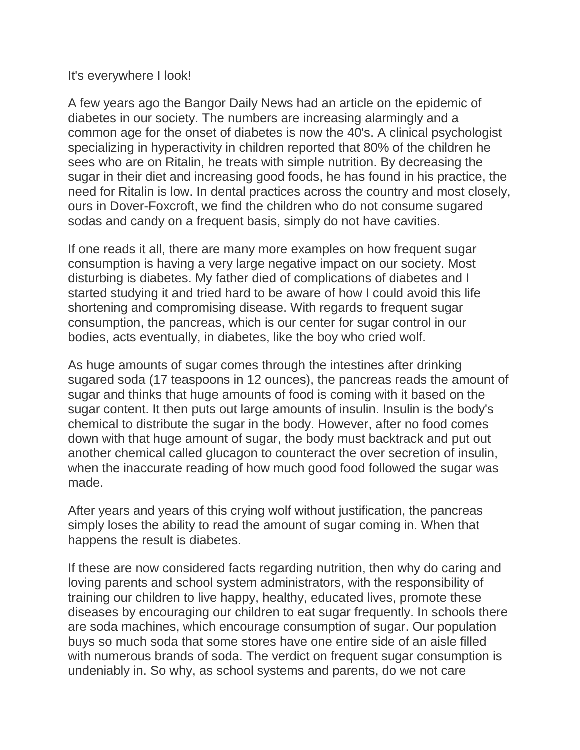It's everywhere I look!

A few years ago the Bangor Daily News had an article on the epidemic of diabetes in our society. The numbers are increasing alarmingly and a common age for the onset of diabetes is now the 40's. A clinical psychologist specializing in hyperactivity in children reported that 80% of the children he sees who are on Ritalin, he treats with simple nutrition. By decreasing the sugar in their diet and increasing good foods, he has found in his practice, the need for Ritalin is low. In dental practices across the country and most closely, ours in Dover-Foxcroft, we find the children who do not consume sugared sodas and candy on a frequent basis, simply do not have cavities.

If one reads it all, there are many more examples on how frequent sugar consumption is having a very large negative impact on our society. Most disturbing is diabetes. My father died of complications of diabetes and I started studying it and tried hard to be aware of how I could avoid this life shortening and compromising disease. With regards to frequent sugar consumption, the pancreas, which is our center for sugar control in our bodies, acts eventually, in diabetes, like the boy who cried wolf.

As huge amounts of sugar comes through the intestines after drinking sugared soda (17 teaspoons in 12 ounces), the pancreas reads the amount of sugar and thinks that huge amounts of food is coming with it based on the sugar content. It then puts out large amounts of insulin. Insulin is the body's chemical to distribute the sugar in the body. However, after no food comes down with that huge amount of sugar, the body must backtrack and put out another chemical called glucagon to counteract the over secretion of insulin, when the inaccurate reading of how much good food followed the sugar was made.

After years and years of this crying wolf without justification, the pancreas simply loses the ability to read the amount of sugar coming in. When that happens the result is diabetes.

If these are now considered facts regarding nutrition, then why do caring and loving parents and school system administrators, with the responsibility of training our children to live happy, healthy, educated lives, promote these diseases by encouraging our children to eat sugar frequently. In schools there are soda machines, which encourage consumption of sugar. Our population buys so much soda that some stores have one entire side of an aisle filled with numerous brands of soda. The verdict on frequent sugar consumption is undeniably in. So why, as school systems and parents, do we not care